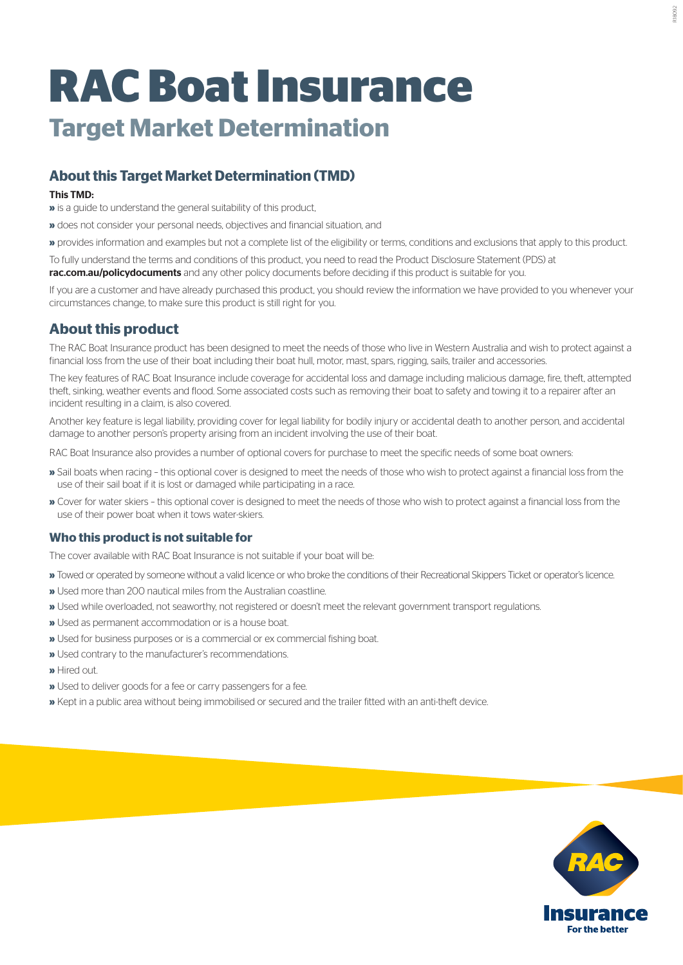# **RAC Boat Insurance Target Market Determination**

# **About this Target Market Determination (TMD)**

#### This TMD:

**»** is a guide to understand the general suitability of this product,

**»** does not consider your personal needs, objectives and financial situation, and

**»** provides information and examples but not a complete list of the eligibility or terms, conditions and exclusions that apply to this product.

To fully understand the terms and conditions of this product, you need to read the Product Disclosure Statement (PDS) at **rac.com.au/policydocuments** and any other policy documents before deciding if this product is suitable for you.

If you are a customer and have already purchased this product, you should review the information we have provided to you whenever your circumstances change, to make sure this product is still right for you.

## **About this product**

The RAC Boat Insurance product has been designed to meet the needs of those who live in Western Australia and wish to protect against a financial loss from the use of their boat including their boat hull, motor, mast, spars, rigging, sails, trailer and accessories.

The key features of RAC Boat Insurance include coverage for accidental loss and damage including malicious damage, fire, theft, attempted theft, sinking, weather events and flood. Some associated costs such as removing their boat to safety and towing it to a repairer after an incident resulting in a claim, is also covered.

Another key feature is legal liability, providing cover for legal liability for bodily injury or accidental death to another person, and accidental damage to another person's property arising from an incident involving the use of their boat.

RAC Boat Insurance also provides a number of optional covers for purchase to meet the specific needs of some boat owners:

- **»** Sail boats when racing this optional cover is designed to meet the needs of those who wish to protect against a financial loss from the use of their sail boat if it is lost or damaged while participating in a race.
- **»** Cover for water skiers this optional cover is designed to meet the needs of those who wish to protect against a financial loss from the use of their power boat when it tows water-skiers.

#### **Who this product is not suitable for**

The cover available with RAC Boat Insurance is not suitable if your boat will be:

- **»** Towed or operated by someone without a valid licence or who broke the conditions of their Recreational Skippers Ticket or operator's licence.
- **»** Used more than 200 nautical miles from the Australian coastline.
- **»** Used while overloaded, not seaworthy, not registered or doesn't meet the relevant government transport regulations.
- **»** Used as permanent accommodation or is a house boat.
- **»** Used for business purposes or is a commercial or ex commercial fishing boat.
- **»** Used contrary to the manufacturer's recommendations.
- **»** Hired out.
- **»** Used to deliver goods for a fee or carry passengers for a fee.
- **»** Kept in a public area without being immobilised or secured and the trailer fitted with an anti-theft device.